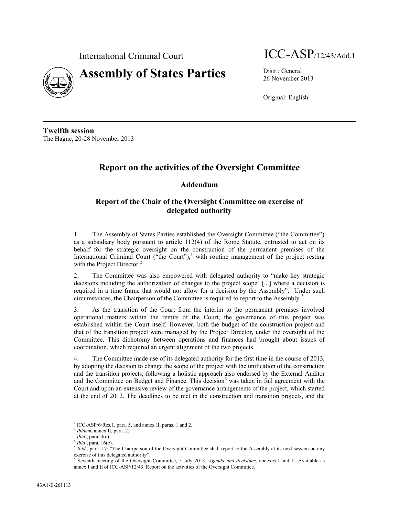

# International Criminal Court ICC-ASP/12/43/Add.1

26 November 2013

Original: English

**Twelfth session** The Hague, 20-28 November 2013

# **Report on the activities of the Oversight Committee**

## **Addendum**

## **Report of the Chair of the Oversight Committee on exercise of delegated authority**

1. The Assembly of States Parties established the Oversight Committee ("the Committee") as a subsidiary body pursuant to article  $112(4)$  of the Rome Statute, entrusted to act on its behalf for the strategic oversight on the construction of the permanent premises of the International Criminal Court ("the Court"), $\frac{1}{1}$  with routine management of the project resting with the Project Director.<sup>2</sup>

2. The Committee was also empowered with delegated authority to "make key strategic decisions including the authorization of changes to the project scope<sup>3</sup> [...] where a decision is required in a time frame that would not allow for a decision by the Assembly".<sup>4</sup> Under such circumstances, the Chairperson of the Committee is required to report to the Assembly.<sup>5</sup>

3. As the transition of the Court from the interim to the permanent premises involved operational matters within the remits of the Court, the governance of this project was established within the Court itself. However, both the budget of the construction project and that of the transition project were managed by the Project Director, under the oversight of the Committee. This dichotomy between operations and finances had brought about issues of coordination, which required an urgent alignment of the two projects.

4. The Committee made use of its delegated authority for the first time in the course of 2013, by adopting the decision to change the scope of the project with the unification of the construction and the transition projects, following a holistic approach also endorsed by the External Auditor and the Committee on Budget and Finance. This decision<sup>6</sup> was taken in full agreement with the Court and upon an extensive review of the governance arrangements of the project, which started at the end of 2012. The deadlines to be met in the construction and transition projects, and the

<sup>1</sup> ICC-ASP/6/Res.1, para. 5, and annex II, paras. 1 and 2. <sup>2</sup> *Ibidem*, annex II, para. 2.

<sup>&</sup>lt;sup>3</sup> *Ibid.*, para. 3(c).<br><sup>4</sup> *Ibid.*, para. 16(c).

<sup>&</sup>lt;sup>5</sup> *Ibid.*, para. 17: "The Chairperson of the Oversight Committee shall report to the Assembly at its next session on any exercise of this delegated authority".

<sup>6</sup> Seventh meeting of the Oversight Committee, 5 July 2013, *Agenda and decisions*, annexes I and II. Available as annex I and II of ICC-ASP/12/43. Report on the activities of the Oversight Committee.